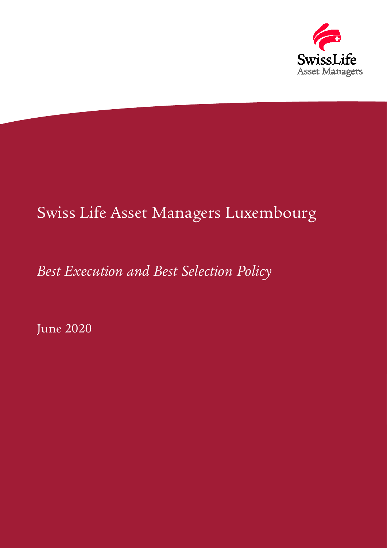

# Swiss Life Asset Managers Luxembourg

# *Best Execution and Best Selection Policy*

June 2020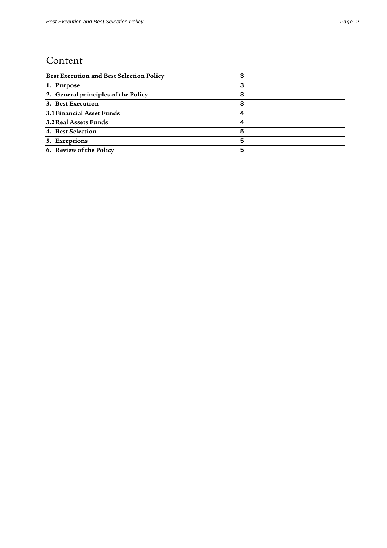### Content

| <b>Best Execution and Best Selection Policy</b> |  |
|-------------------------------------------------|--|
| 1. Purpose                                      |  |
| 2. General principles of the Policy             |  |
| 3. Best Execution                               |  |
| 3.1 Financial Asset Funds                       |  |
| 3.2 Real Assets Funds                           |  |
| 4. Best Selection                               |  |
| 5. Exceptions                                   |  |
| 6. Review of the Policy                         |  |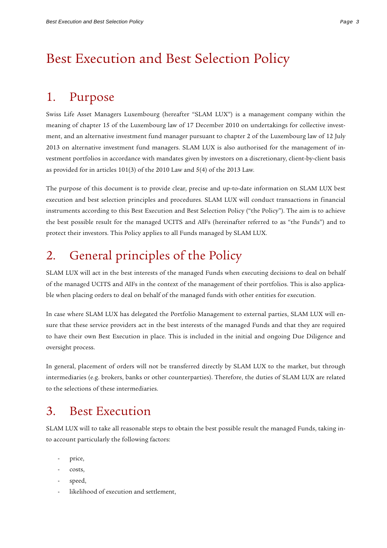## <span id="page-2-0"></span>Best Execution and Best Selection Policy

### <span id="page-2-1"></span>1. Purpose

Swiss Life Asset Managers Luxembourg (hereafter "SLAM LUX") is a management company within the meaning of chapter 15 of the Luxembourg law of 17 December 2010 on undertakings for collective investment, and an alternative investment fund manager pursuant to chapter 2 of the Luxembourg law of 12 July 2013 on alternative investment fund managers. SLAM LUX is also authorised for the management of investment portfolios in accordance with mandates given by investors on a discretionary, client-by-client basis as provided for in articles 101(3) of the 2010 Law and 5(4) of the 2013 Law.

The purpose of this document is to provide clear, precise and up-to-date information on SLAM LUX best execution and best selection principles and procedures. SLAM LUX will conduct transactions in financial instruments according to this Best Execution and Best Selection Policy ("the Policy"). The aim is to achieve the best possible result for the managed UCITS and AIFs (hereinafter referred to as "the Funds") and to protect their investors. This Policy applies to all Funds managed by SLAM LUX.

## <span id="page-2-2"></span>2. General principles of the Policy

SLAM LUX will act in the best interests of the managed Funds when executing decisions to deal on behalf of the managed UCITS and AIFs in the context of the management of their portfolios. This is also applicable when placing orders to deal on behalf of the managed funds with other entities for execution.

In case where SLAM LUX has delegated the Portfolio Management to external parties, SLAM LUX will ensure that these service providers act in the best interests of the managed Funds and that they are required to have their own Best Execution in place. This is included in the initial and ongoing Due Diligence and oversight process.

In general, placement of orders will not be transferred directly by SLAM LUX to the market, but through intermediaries (e.g. brokers, banks or other counterparties). Therefore, the duties of SLAM LUX are related to the selections of these intermediaries.

## <span id="page-2-3"></span>3. Best Execution

SLAM LUX will to take all reasonable steps to obtain the best possible result the managed Funds, taking into account particularly the following factors:

- price,
- costs.
- speed,
- likelihood of execution and settlement,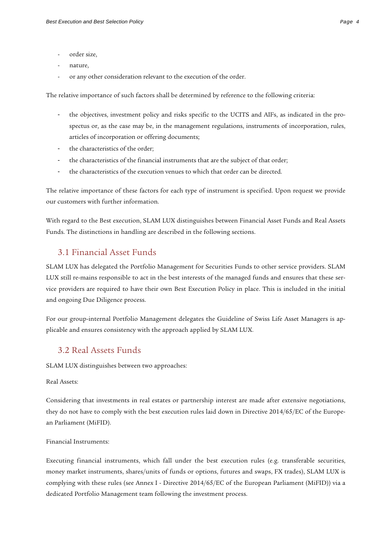- order size.
- nature,
- or any other consideration relevant to the execution of the order.

The relative importance of such factors shall be determined by reference to the following criteria:

- the objectives, investment policy and risks specific to the UCITS and AIFs, as indicated in the prospectus or, as the case may be, in the management regulations, instruments of incorporation, rules, articles of incorporation or offering documents;
- the characteristics of the order;
- the characteristics of the financial instruments that are the subject of that order;
- the characteristics of the execution venues to which that order can be directed.

The relative importance of these factors for each type of instrument is specified. Upon request we provide our customers with further information.

With regard to the Best execution, SLAM LUX distinguishes between Financial Asset Funds and Real Assets Funds. The distinctions in handling are described in the following sections.

#### <span id="page-3-0"></span>3.1 Financial Asset Funds

SLAM LUX has delegated the Portfolio Management for Securities Funds to other service providers. SLAM LUX still re-mains responsible to act in the best interests of the managed funds and ensures that these service providers are required to have their own Best Execution Policy in place. This is included in the initial and ongoing Due Diligence process.

For our group-internal Portfolio Management delegates the Guideline of Swiss Life Asset Managers is applicable and ensures consistency with the approach applied by SLAM LUX.

#### <span id="page-3-1"></span>3.2 Real Assets Funds

SLAM LUX distinguishes between two approaches:

Real Assets:

Considering that investments in real estates or partnership interest are made after extensive negotiations, they do not have to comply with the best execution rules laid down in Directive 2014/65/EC of the European Parliament (MiFID).

#### Financial Instruments:

Executing financial instruments, which fall under the best execution rules (e.g. transferable securities, money market instruments, shares/units of funds or options, futures and swaps, FX trades), SLAM LUX is complying with these rules (see Annex I - Directive 2014/65/EC of the European Parliament (MiFID)) via a dedicated Portfolio Management team following the investment process.